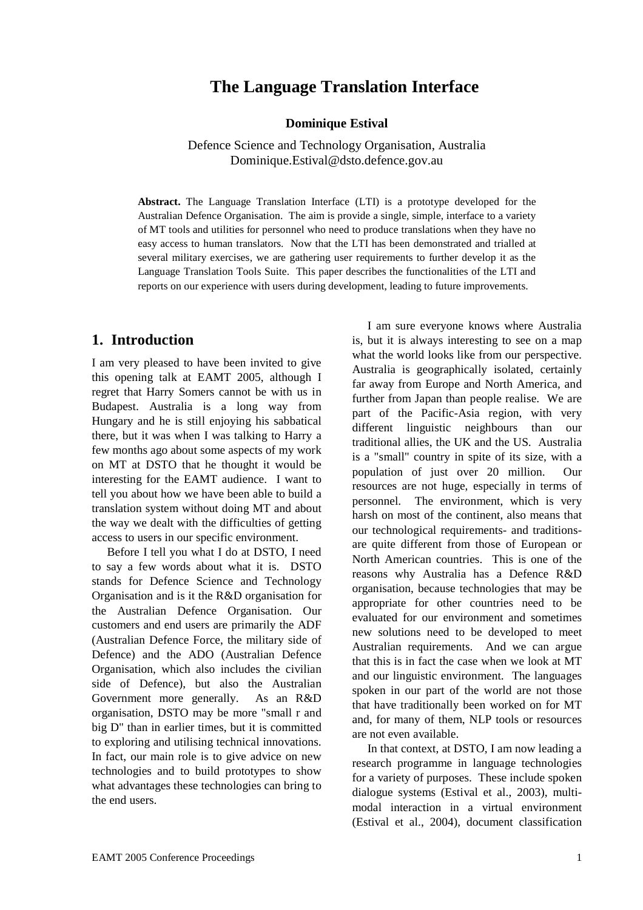# **The Language Translation Interface**

**Dominique Estival** 

Defence Science and Technology Organisation, Australia Dominique.Estival@dsto.defence.gov.au

**Abstract.** The Language Translation Interface (LTI) is a prototype developed for the Australian Defence Organisation. The aim is provide a single, simple, interface to a variety of MT tools and utilities for personnel who need to produce translations when they have no easy access to human translators. Now that the LTI has been demonstrated and trialled at several military exercises, we are gathering user requirements to further develop it as the Language Translation Tools Suite. This paper describes the functionalities of the LTI and reports on our experience with users during development, leading to future improvements.

## **1. Introduction**

I am very pleased to have been invited to give this opening talk at EAMT 2005, although I regret that Harry Somers cannot be with us in Budapest. Australia is a long way from Hungary and he is still enjoying his sabbatical there, but it was when I was talking to Harry a few months ago about some aspects of my work on MT at DSTO that he thought it would be interesting for the EAMT audience. I want to tell you about how we have been able to build a translation system without doing MT and about the way we dealt with the difficulties of getting access to users in our specific environment.

Before I tell you what I do at DSTO, I need to say a few words about what it is. DSTO stands for Defence Science and Technology Organisation and is it the R&D organisation for the Australian Defence Organisation. Our customers and end users are primarily the ADF (Australian Defence Force, the military side of Defence) and the ADO (Australian Defence Organisation, which also includes the civilian side of Defence), but also the Australian Government more generally. As an R&D organisation, DSTO may be more "small r and big D" than in earlier times, but it is committed to exploring and utilising technical innovations. In fact, our main role is to give advice on new technologies and to build prototypes to show what advantages these technologies can bring to the end users.

I am sure everyone knows where Australia is, but it is always interesting to see on a map what the world looks like from our perspective. Australia is geographically isolated, certainly far away from Europe and North America, and further from Japan than people realise. We are part of the Pacific-Asia region, with very different linguistic neighbours than our traditional allies, the UK and the US. Australia is a "small" country in spite of its size, with a population of just over 20 million. Our resources are not huge, especially in terms of personnel. The environment, which is very harsh on most of the continent, also means that our technological requirements- and traditionsare quite different from those of European or North American countries. This is one of the reasons why Australia has a Defence R&D organisation, because technologies that may be appropriate for other countries need to be evaluated for our environment and sometimes new solutions need to be developed to meet Australian requirements. And we can argue that this is in fact the case when we look at MT and our linguistic environment. The languages spoken in our part of the world are not those that have traditionally been worked on for MT and, for many of them, NLP tools or resources are not even available.

In that context, at DSTO, I am now leading a research programme in language technologies for a variety of purposes. These include spoken dialogue systems (Estival et al., 2003), multimodal interaction in a virtual environment (Estival et al., 2004), document classification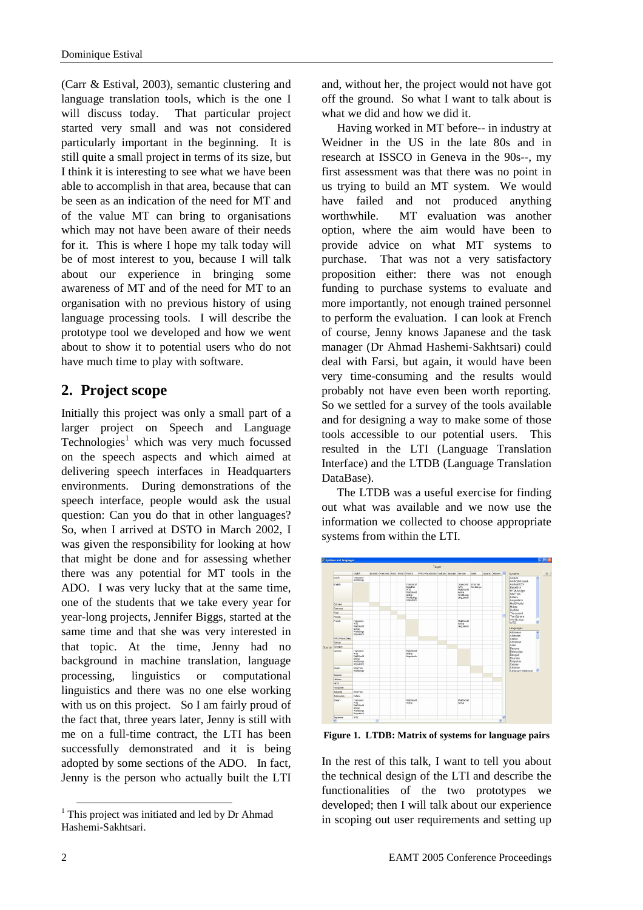(Carr & Estival, 2003), semantic clustering and language translation tools, which is the one I will discuss today. That particular project started very small and was not considered particularly important in the beginning. It is still quite a small project in terms of its size, but I think it is interesting to see what we have been able to accomplish in that area, because that can be seen as an indication of the need for MT and of the value MT can bring to organisations which may not have been aware of their needs for it. This is where I hope my talk today will be of most interest to you, because I will talk about our experience in bringing some awareness of MT and of the need for MT to an organisation with no previous history of using language processing tools. I will describe the prototype tool we developed and how we went about to show it to potential users who do not have much time to play with software.

# **2. Project scope**

Initially this project was only a small part of a larger project on Speech and Language Technologies<sup>1</sup> which was very much focussed on the speech aspects and which aimed at delivering speech interfaces in Headquarters environments. During demonstrations of the speech interface, people would ask the usual question: Can you do that in other languages? So, when I arrived at DSTO in March 2002, I was given the responsibility for looking at how that might be done and for assessing whether there was any potential for MT tools in the ADO. I was very lucky that at the same time, one of the students that we take every year for year-long projects, Jennifer Biggs, started at the same time and that she was very interested in that topic. At the time, Jenny had no background in machine translation, language processing, linguistics or computational linguistics and there was no one else working with us on this project. So I am fairly proud of the fact that, three years later, Jenny is still with me on a full-time contract, the LTI has been successfully demonstrated and it is being adopted by some sections of the ADO. In fact, Jenny is the person who actually built the LTI

and, without her, the project would not have got off the ground. So what I want to talk about is what we did and how we did it.

Having worked in MT before-- in industry at Weidner in the US in the late 80s and in research at ISSCO in Geneva in the 90s--, my first assessment was that there was no point in us trying to build an MT system. We would have failed and not produced anything worthwhile. MT evaluation was another option, where the aim would have been to provide advice on what MT systems to purchase. That was not a very satisfactory proposition either: there was not enough funding to purchase systems to evaluate and more importantly, not enough trained personnel to perform the evaluation. I can look at French of course, Jenny knows Japanese and the task manager (Dr Ahmad Hashemi-Sakhtsari) could deal with Farsi, but again, it would have been very time-consuming and the results would probably not have even been worth reporting. So we settled for a survey of the tools available and for designing a way to make some of those tools accessible to our potential users. This resulted in the LTI (Language Translation Interface) and the LTDB (Language Translation DataBase).

The LTDB was a useful exercise for finding out what was available and we now use the information we collected to choose appropriate systems from within the LTI.



**Figure 1. LTDB: Matrix of systems for language pairs** 

In the rest of this talk, I want to tell you about the technical design of the LTI and describe the functionalities of the two prototypes we developed; then I will talk about our experience in scoping out user requirements and setting up

 $\overline{a}$ 

<sup>&</sup>lt;sup>1</sup> This project was initiated and led by Dr Ahmad Hashemi-Sakhtsari.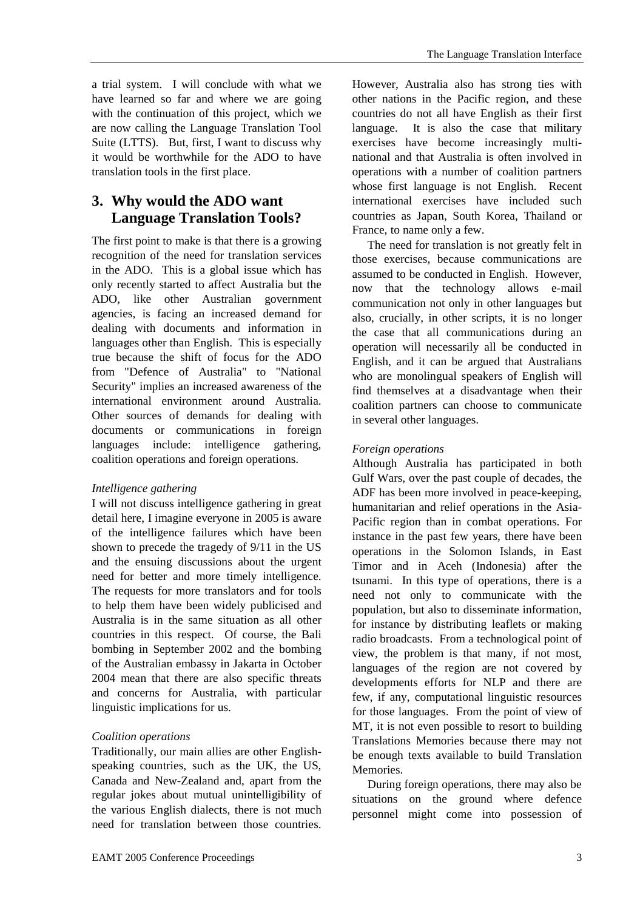with the continuation of this project, which we are now calling the Language Translation Tool Suite (LTTS). But, first, I want to discuss why it would be worthwhile for the ADO to have translation tools in the first place.

# **3. Why would the ADO want Language Translation Tools?**

The first point to make is that there is a growing recognition of the need for translation services in the ADO. This is a global issue which has only recently started to affect Australia but the ADO, like other Australian government agencies, is facing an increased demand for dealing with documents and information in languages other than English. This is especially true because the shift of focus for the ADO from "Defence of Australia" to "National Security" implies an increased awareness of the international environment around Australia. Other sources of demands for dealing with documents or communications in foreign languages include: intelligence gathering, coalition operations and foreign operations.

## *Intelligence gathering*

I will not discuss intelligence gathering in great detail here, I imagine everyone in 2005 is aware of the intelligence failures which have been shown to precede the tragedy of 9/11 in the US and the ensuing discussions about the urgent need for better and more timely intelligence. The requests for more translators and for tools to help them have been widely publicised and Australia is in the same situation as all other countries in this respect. Of course, the Bali bombing in September 2002 and the bombing of the Australian embassy in Jakarta in October 2004 mean that there are also specific threats and concerns for Australia, with particular linguistic implications for us.

## *Coalition operations*

Traditionally, our main allies are other Englishspeaking countries, such as the UK, the US, Canada and New-Zealand and, apart from the regular jokes about mutual unintelligibility of the various English dialects, there is not much need for translation between those countries.

However, Australia also has strong ties with other nations in the Pacific region, and these countries do not all have English as their first language. It is also the case that military exercises have become increasingly multinational and that Australia is often involved in operations with a number of coalition partners whose first language is not English. Recent international exercises have included such countries as Japan, South Korea, Thailand or France, to name only a few.

The need for translation is not greatly felt in those exercises, because communications are assumed to be conducted in English. However, now that the technology allows e-mail communication not only in other languages but also, crucially, in other scripts, it is no longer the case that all communications during an operation will necessarily all be conducted in English, and it can be argued that Australians who are monolingual speakers of English will find themselves at a disadvantage when their coalition partners can choose to communicate in several other languages.

#### *Foreign operations*

Although Australia has participated in both Gulf Wars, over the past couple of decades, the ADF has been more involved in peace-keeping, humanitarian and relief operations in the Asia-Pacific region than in combat operations. For instance in the past few years, there have been operations in the Solomon Islands, in East Timor and in Aceh (Indonesia) after the tsunami. In this type of operations, there is a need not only to communicate with the population, but also to disseminate information, for instance by distributing leaflets or making radio broadcasts. From a technological point of view, the problem is that many, if not most, languages of the region are not covered by developments efforts for NLP and there are few, if any, computational linguistic resources for those languages. From the point of view of MT, it is not even possible to resort to building Translations Memories because there may not be enough texts available to build Translation Memories.

During foreign operations, there may also be situations on the ground where defence personnel might come into possession of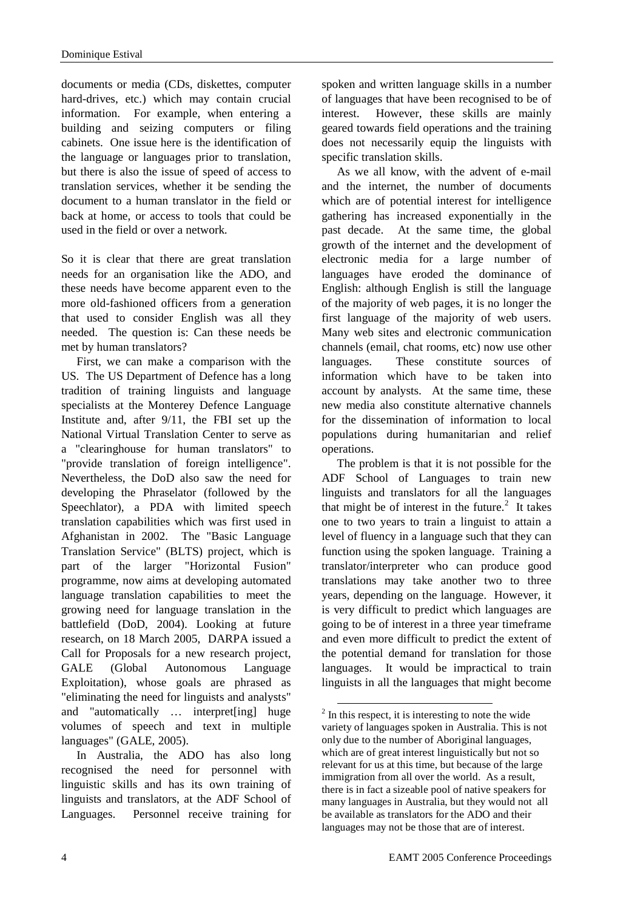documents or media (CDs, diskettes, computer hard-drives, etc.) which may contain crucial information. For example, when entering a building and seizing computers or filing cabinets. One issue here is the identification of the language or languages prior to translation, but there is also the issue of speed of access to translation services, whether it be sending the document to a human translator in the field or back at home, or access to tools that could be used in the field or over a network.

So it is clear that there are great translation needs for an organisation like the ADO, and these needs have become apparent even to the more old-fashioned officers from a generation that used to consider English was all they needed. The question is: Can these needs be met by human translators?

First, we can make a comparison with the US. The US Department of Defence has a long tradition of training linguists and language specialists at the Monterey Defence Language Institute and, after 9/11, the FBI set up the National Virtual Translation Center to serve as a "clearinghouse for human translators" to "provide translation of foreign intelligence". Nevertheless, the DoD also saw the need for developing the Phraselator (followed by the Speechlator), a PDA with limited speech translation capabilities which was first used in Afghanistan in 2002. The "Basic Language Translation Service" (BLTS) project, which is part of the larger "Horizontal Fusion" programme, now aims at developing automated language translation capabilities to meet the growing need for language translation in the battlefield (DoD, 2004). Looking at future research, on 18 March 2005, DARPA issued a Call for Proposals for a new research project, GALE (Global Autonomous Language Exploitation), whose goals are phrased as "eliminating the need for linguists and analysts" and "automatically … interpret[ing] huge volumes of speech and text in multiple languages" (GALE, 2005).

In Australia, the ADO has also long recognised the need for personnel with linguistic skills and has its own training of linguists and translators, at the ADF School of Languages. Personnel receive training for

spoken and written language skills in a number of languages that have been recognised to be of interest. However, these skills are mainly geared towards field operations and the training does not necessarily equip the linguists with specific translation skills.

As we all know, with the advent of e-mail and the internet, the number of documents which are of potential interest for intelligence gathering has increased exponentially in the past decade. At the same time, the global growth of the internet and the development of electronic media for a large number of languages have eroded the dominance of English: although English is still the language of the majority of web pages, it is no longer the first language of the majority of web users. Many web sites and electronic communication channels (email, chat rooms, etc) now use other languages. These constitute sources of information which have to be taken into account by analysts. At the same time, these new media also constitute alternative channels for the dissemination of information to local populations during humanitarian and relief operations.

The problem is that it is not possible for the ADF School of Languages to train new linguists and translators for all the languages that might be of interest in the future.<sup>2</sup> It takes one to two years to train a linguist to attain a level of fluency in a language such that they can function using the spoken language. Training a translator/interpreter who can produce good translations may take another two to three years, depending on the language. However, it is very difficult to predict which languages are going to be of interest in a three year timeframe and even more difficult to predict the extent of the potential demand for translation for those languages. It would be impractical to train linguists in all the languages that might become

<sup>&</sup>lt;sup>2</sup> In this respect, it is interesting to note the wide variety of languages spoken in Australia. This is not only due to the number of Aboriginal languages, which are of great interest linguistically but not so relevant for us at this time, but because of the large immigration from all over the world. As a result, there is in fact a sizeable pool of native speakers for many languages in Australia, but they would not all be available as translators for the ADO and their languages may not be those that are of interest.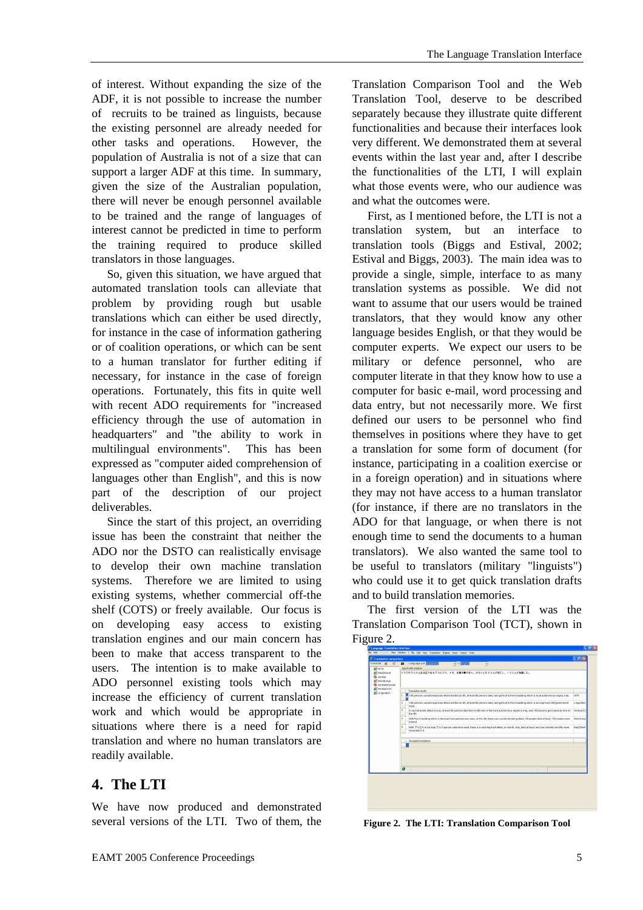of interest. Without expanding the size of the ADF, it is not possible to increase the number of recruits to be trained as linguists, because the existing personnel are already needed for other tasks and operations. However, the population of Australia is not of a size that can support a larger ADF at this time. In summary, given the size of the Australian population, there will never be enough personnel available to be trained and the range of languages of interest cannot be predicted in time to perform the training required to produce skilled translators in those languages.

So, given this situation, we have argued that automated translation tools can alleviate that problem by providing rough but usable translations which can either be used directly, for instance in the case of information gathering or of coalition operations, or which can be sent to a human translator for further editing if necessary, for instance in the case of foreign operations. Fortunately, this fits in quite well with recent ADO requirements for "increased efficiency through the use of automation in headquarters" and "the ability to work in multilingual environments". This has been expressed as "computer aided comprehension of languages other than English", and this is now part of the description of our project deliverables.

Since the start of this project, an overriding issue has been the constraint that neither the ADO nor the DSTO can realistically envisage to develop their own machine translation systems. Therefore we are limited to using existing systems, whether commercial off-the shelf (COTS) or freely available. Our focus is on developing easy access to existing translation engines and our main concern has been to make that access transparent to the users. The intention is to make available to ADO personnel existing tools which may increase the efficiency of current translation work and which would be appropriate in situations where there is a need for rapid translation and where no human translators are readily available.

# **4. The LTI**

We have now produced and demonstrated several versions of the LTI. Two of them, the

Translation Comparison Tool and the Web Translation Tool, deserve to be described separately because they illustrate quite different functionalities and because their interfaces look very different. We demonstrated them at several events within the last year and, after I describe the functionalities of the LTI, I will explain what those events were, who our audience was and what the outcomes were.

First, as I mentioned before, the LTI is not a translation system, but an interface to translation tools (Biggs and Estival, 2002; Estival and Biggs, 2003). The main idea was to provide a single, simple, interface to as many translation systems as possible. We did not want to assume that our users would be trained translators, that they would know any other language besides English, or that they would be computer experts. We expect our users to be military or defence personnel, who are computer literate in that they know how to use a computer for basic e-mail, word processing and data entry, but not necessarily more. We first defined our users to be personnel who find themselves in positions where they have to get a translation for some form of document (for instance, participating in a coalition exercise or in a foreign operation) and in situations where they may not have access to a human translator (for instance, if there are no translators in the ADO for that language, or when there is not enough time to send the documents to a human translators). We also wanted the same tool to be useful to translators (military "linguists") who could use it to get quick translation drafts and to build translation memories.

The first version of the LTI was the Translation Comparison Tool (TCT), shown in Figure 2.



**Figure 2. The LTI: Translation Comparison Tool**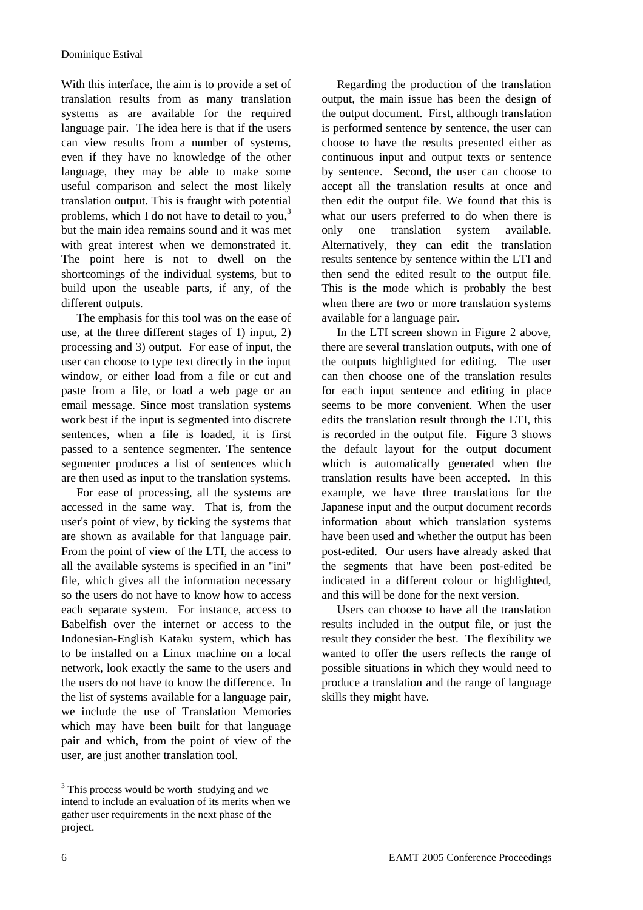With this interface, the aim is to provide a set of translation results from as many translation systems as are available for the required language pair. The idea here is that if the users can view results from a number of systems, even if they have no knowledge of the other language, they may be able to make some useful comparison and select the most likely translation output. This is fraught with potential problems, which I do not have to detail to you, $3$ but the main idea remains sound and it was met with great interest when we demonstrated it. The point here is not to dwell on the shortcomings of the individual systems, but to build upon the useable parts, if any, of the different outputs.

The emphasis for this tool was on the ease of use, at the three different stages of 1) input, 2) processing and 3) output. For ease of input, the user can choose to type text directly in the input window, or either load from a file or cut and paste from a file, or load a web page or an email message. Since most translation systems work best if the input is segmented into discrete sentences, when a file is loaded, it is first passed to a sentence segmenter. The sentence segmenter produces a list of sentences which are then used as input to the translation systems.

For ease of processing, all the systems are accessed in the same way. That is, from the user's point of view, by ticking the systems that are shown as available for that language pair. From the point of view of the LTI, the access to all the available systems is specified in an "ini" file, which gives all the information necessary so the users do not have to know how to access each separate system. For instance, access to Babelfish over the internet or access to the Indonesian-English Kataku system, which has to be installed on a Linux machine on a local network, look exactly the same to the users and the users do not have to know the difference. In the list of systems available for a language pair, we include the use of Translation Memories which may have been built for that language pair and which, from the point of view of the user, are just another translation tool.

Regarding the production of the translation output, the main issue has been the design of the output document. First, although translation is performed sentence by sentence, the user can choose to have the results presented either as continuous input and output texts or sentence by sentence. Second, the user can choose to accept all the translation results at once and then edit the output file. We found that this is what our users preferred to do when there is only one translation system available. Alternatively, they can edit the translation results sentence by sentence within the LTI and then send the edited result to the output file. This is the mode which is probably the best when there are two or more translation systems available for a language pair.

In the LTI screen shown in Figure 2 above, there are several translation outputs, with one of the outputs highlighted for editing. The user can then choose one of the translation results for each input sentence and editing in place seems to be more convenient. When the user edits the translation result through the LTI, this is recorded in the output file. Figure 3 shows the default layout for the output document which is automatically generated when the translation results have been accepted. In this example, we have three translations for the Japanese input and the output document records information about which translation systems have been used and whether the output has been post-edited. Our users have already asked that the segments that have been post-edited be indicated in a different colour or highlighted, and this will be done for the next version.

Users can choose to have all the translation results included in the output file, or just the result they consider the best. The flexibility we wanted to offer the users reflects the range of possible situations in which they would need to produce a translation and the range of language skills they might have.

l

<sup>&</sup>lt;sup>3</sup> This process would be worth studying and we intend to include an evaluation of its merits when we gather user requirements in the next phase of the project.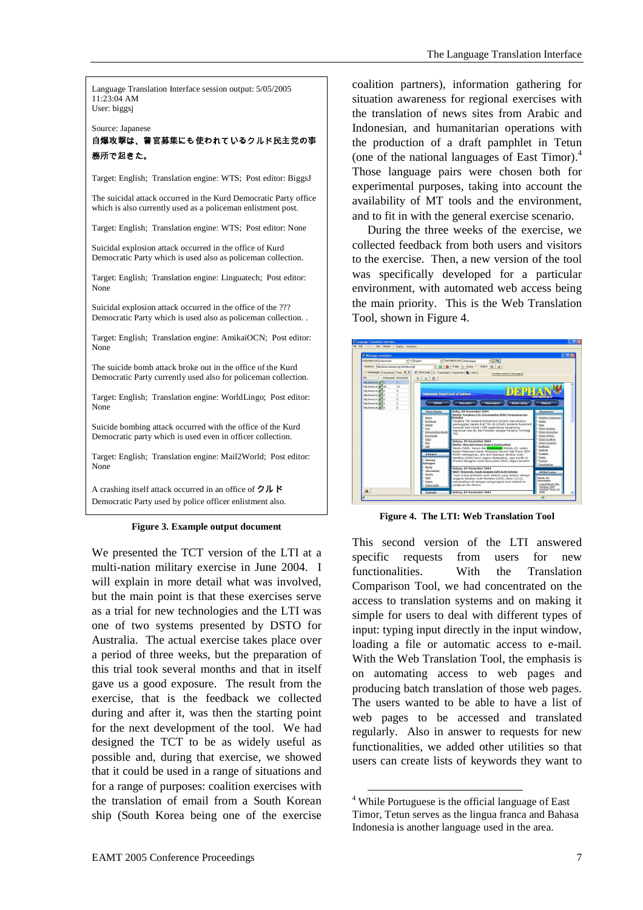Language Translation Interface session output: 5/05/2005  $11.23.04$  AM User: biggsj

Source: Japanese - 

務所で起きた。

Target: English; Translation engine: WTS; Post editor: BiggsJ

The suicidal attack occurred in the Kurd Democratic Party office which is also currently used as a policeman enlistment post.

Target: English; Translation engine: WTS; Post editor: None

Suicidal explosion attack occurred in the office of Kurd Democratic Party which is used also as policeman collection.

Target: English; Translation engine: Linguatech; Post editor: None

Suicidal explosion attack occurred in the office of the ??? Democratic Party which is used also as policeman collection. .

Target: English; Translation engine: AmikaiOCN; Post editor: None

The suicide bomb attack broke out in the office of the Kurd Democratic Party currently used also for policeman collection.

Target: English; Translation engine: WorldLingo; Post editor: None

Suicide bombing attack occurred with the office of the Kurd Democratic party which is used even in officer collection.

Target: English; Translation engine: Mail2World; Post editor: None

A crashing itself attack occurred in an office of  $2 \mu$  K Democratic Party used by police officer enlistment also.

#### **Figure 3. Example output document**

We presented the TCT version of the LTI at a multi-nation military exercise in June 2004. I will explain in more detail what was involved, but the main point is that these exercises serve as a trial for new technologies and the LTI was one of two systems presented by DSTO for Australia. The actual exercise takes place over a period of three weeks, but the preparation of this trial took several months and that in itself gave us a good exposure. The result from the exercise, that is the feedback we collected during and after it, was then the starting point for the next development of the tool. We had designed the TCT to be as widely useful as possible and, during that exercise, we showed that it could be used in a range of situations and for a range of purposes: coalition exercises with the translation of email from a South Korean ship (South Korea being one of the exercise

coalition partners), information gathering for situation awareness for regional exercises with the translation of news sites from Arabic and Indonesian, and humanitarian operations with the production of a draft pamphlet in Tetun (one of the national languages of East Timor).<sup>4</sup> Those language pairs were chosen both for experimental purposes, taking into account the availability of MT tools and the environment, and to fit in with the general exercise scenario.

During the three weeks of the exercise, we collected feedback from both users and visitors to the exercise. Then, a new version of the tool was specifically developed for a particular environment, with automated web access being the main priority. This is the Web Translation Tool, shown in Figure 4.



**Figure 4. The LTI: Web Translation Tool** 

This second version of the LTI answered specific requests from users for new functionalities. With the Translation Comparison Tool, we had concentrated on the access to translation systems and on making it simple for users to deal with different types of input: typing input directly in the input window, loading a file or automatic access to e-mail. With the Web Translation Tool, the emphasis is on automating access to web pages and producing batch translation of those web pages. The users wanted to be able to have a list of web pages to be accessed and translated regularly. Also in answer to requests for new functionalities, we added other utilities so that users can create lists of keywords they want to

l <sup>4</sup> While Portuguese is the official language of East Timor, Tetun serves as the lingua franca and Bahasa Indonesia is another language used in the area.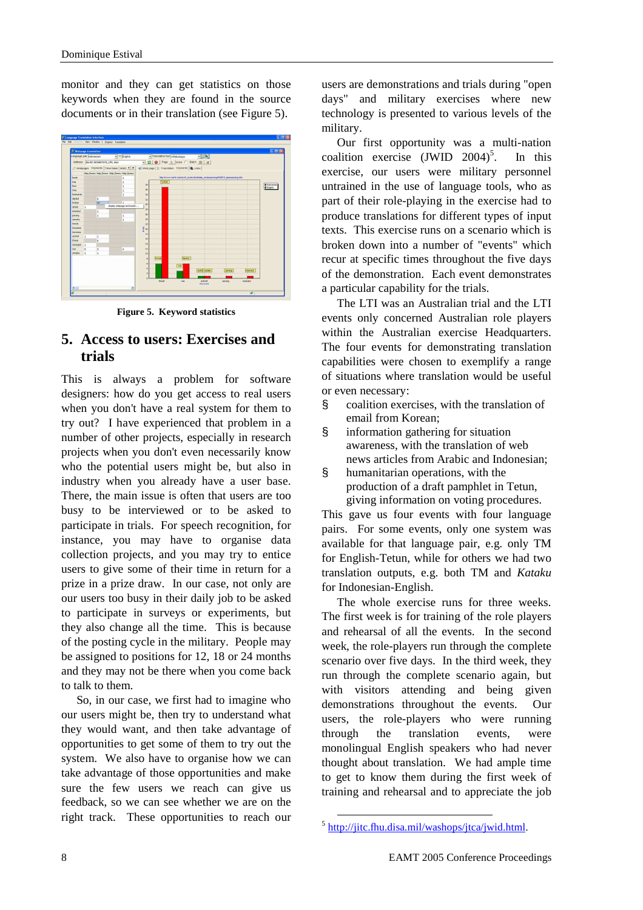monitor and they can get statistics on those keywords when they are found in the source documents or in their translation (see Figure 5).



**Figure 5. Keyword statistics** 

## **5. Access to users: Exercises and trials**

This is always a problem for software designers: how do you get access to real users when you don't have a real system for them to try out? I have experienced that problem in a number of other projects, especially in research projects when you don't even necessarily know who the potential users might be, but also in industry when you already have a user base. There, the main issue is often that users are too busy to be interviewed or to be asked to participate in trials. For speech recognition, for instance, you may have to organise data collection projects, and you may try to entice users to give some of their time in return for a prize in a prize draw. In our case, not only are our users too busy in their daily job to be asked to participate in surveys or experiments, but they also change all the time. This is because of the posting cycle in the military. People may be assigned to positions for 12, 18 or 24 months and they may not be there when you come back to talk to them.

So, in our case, we first had to imagine who our users might be, then try to understand what they would want, and then take advantage of opportunities to get some of them to try out the system. We also have to organise how we can take advantage of those opportunities and make sure the few users we reach can give us feedback, so we can see whether we are on the right track. These opportunities to reach our

users are demonstrations and trials during "open days" and military exercises where new technology is presented to various levels of the military.

Our first opportunity was a multi-nation coalition exercise  $(JWID 2004)^5$ . . In this exercise, our users were military personnel untrained in the use of language tools, who as part of their role-playing in the exercise had to produce translations for different types of input texts. This exercise runs on a scenario which is broken down into a number of "events" which recur at specific times throughout the five days of the demonstration. Each event demonstrates a particular capability for the trials.

The LTI was an Australian trial and the LTI events only concerned Australian role players within the Australian exercise Headquarters. The four events for demonstrating translation capabilities were chosen to exemplify a range of situations where translation would be useful or even necessary:

- § coalition exercises, with the translation of email from Korean;
- § information gathering for situation awareness, with the translation of web news articles from Arabic and Indonesian;
- § humanitarian operations, with the production of a draft pamphlet in Tetun, giving information on voting procedures.

This gave us four events with four language pairs. For some events, only one system was available for that language pair, e.g. only TM for English-Tetun, while for others we had two translation outputs, e.g. both TM and *Kataku* for Indonesian-English.

The whole exercise runs for three weeks. The first week is for training of the role players and rehearsal of all the events. In the second week, the role-players run through the complete scenario over five days. In the third week, they run through the complete scenario again, but with visitors attending and being given demonstrations throughout the events. Our users, the role-players who were running through the translation events, were monolingual English speakers who had never thought about translation. We had ample time to get to know them during the first week of training and rehearsal and to appreciate the job

<sup>&</sup>lt;sup>5</sup> http://jitc.fhu.disa.mil/washops/jtca/jwid.html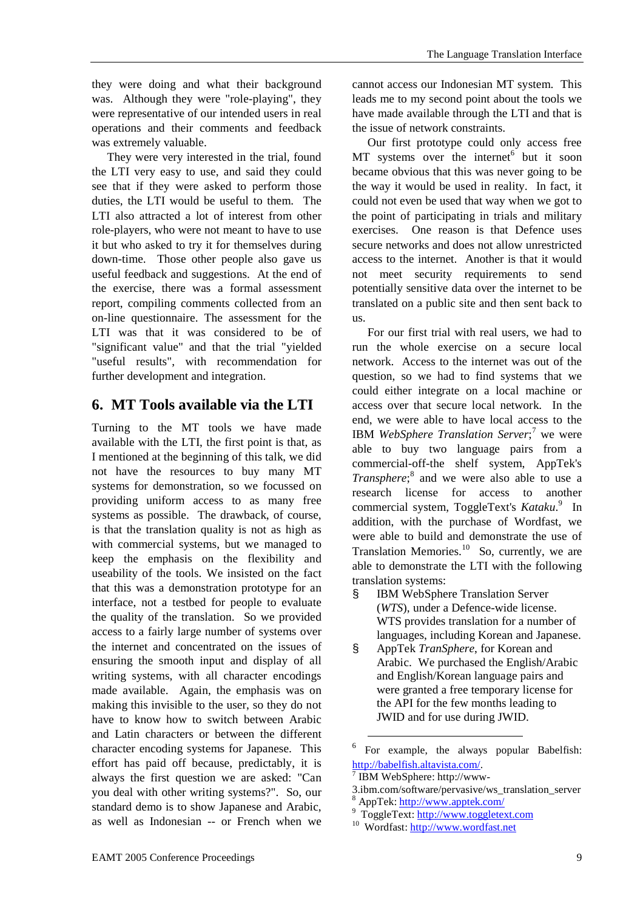they were doing and what their background was. Although they were "role-playing", they were representative of our intended users in real operations and their comments and feedback was extremely valuable.

They were very interested in the trial, found the LTI very easy to use, and said they could see that if they were asked to perform those duties, the LTI would be useful to them. The LTI also attracted a lot of interest from other role-players, who were not meant to have to use it but who asked to try it for themselves during down-time. Those other people also gave us useful feedback and suggestions. At the end of the exercise, there was a formal assessment report, compiling comments collected from an on-line questionnaire. The assessment for the LTI was that it was considered to be of "significant value" and that the trial "yielded "useful results", with recommendation for further development and integration.

## **6. MT Tools available via the LTI**

Turning to the MT tools we have made available with the LTI, the first point is that, as I mentioned at the beginning of this talk, we did not have the resources to buy many MT systems for demonstration, so we focussed on providing uniform access to as many free systems as possible. The drawback, of course, is that the translation quality is not as high as with commercial systems, but we managed to keep the emphasis on the flexibility and useability of the tools. We insisted on the fact that this was a demonstration prototype for an interface, not a testbed for people to evaluate the quality of the translation. So we provided access to a fairly large number of systems over the internet and concentrated on the issues of ensuring the smooth input and display of all writing systems, with all character encodings made available. Again, the emphasis was on making this invisible to the user, so they do not have to know how to switch between Arabic and Latin characters or between the different character encoding systems for Japanese. This effort has paid off because, predictably, it is always the first question we are asked: "Can you deal with other writing systems?". So, our standard demo is to show Japanese and Arabic, as well as Indonesian -- or French when we

cannot access our Indonesian MT system. This leads me to my second point about the tools we have made available through the LTI and that is the issue of network constraints.

Our first prototype could only access free MT systems over the internet<sup>6</sup> but it soon became obvious that this was never going to be the way it would be used in reality. In fact, it could not even be used that way when we got to the point of participating in trials and military exercises. One reason is that Defence uses secure networks and does not allow unrestricted access to the internet. Another is that it would not meet security requirements to send potentially sensitive data over the internet to be translated on a public site and then sent back to us.

For our first trial with real users, we had to run the whole exercise on a secure local network. Access to the internet was out of the question, so we had to find systems that we could either integrate on a local machine or access over that secure local network. In the end, we were able to have local access to the IBM WebSphere Translation Server;<sup>7</sup> we were able to buy two language pairs from a commercial-off-the shelf system, AppTek's *Transphere*;<sup>8</sup> and we were also able to use a research license for access to another commercial system, ToggleText's *Kataku*.<sup>9</sup> In addition, with the purchase of Wordfast, we were able to build and demonstrate the use of Translation Memories.<sup>10</sup> So, currently, we are able to demonstrate the LTI with the following translation systems:

- **IBM WebSphere Translation Server** (*WTS*), under a Defence-wide license. WTS provides translation for a number of languages, including Korean and Japanese.
- § AppTek *TranSphere*, for Korean and Arabic. We purchased the English/Arabic and English/Korean language pairs and were granted a free temporary license for the API for the few months leading to JWID and for use during JWID.

7 IBM WebSphere: http://www-

 $\overline{a}$ 

<sup>6</sup> For example, the always popular Babelfish: http://babelfish.altavista.com/.

<sup>3.</sup>ibm.com/software/pervasive/ws\_translation\_server

<sup>8</sup> AppTek: http://www.apptek.com/

<sup>&</sup>lt;sup>9</sup> ToggleText: http://www.toggletext.com

<sup>10</sup> Wordfast: http://www.wordfast.net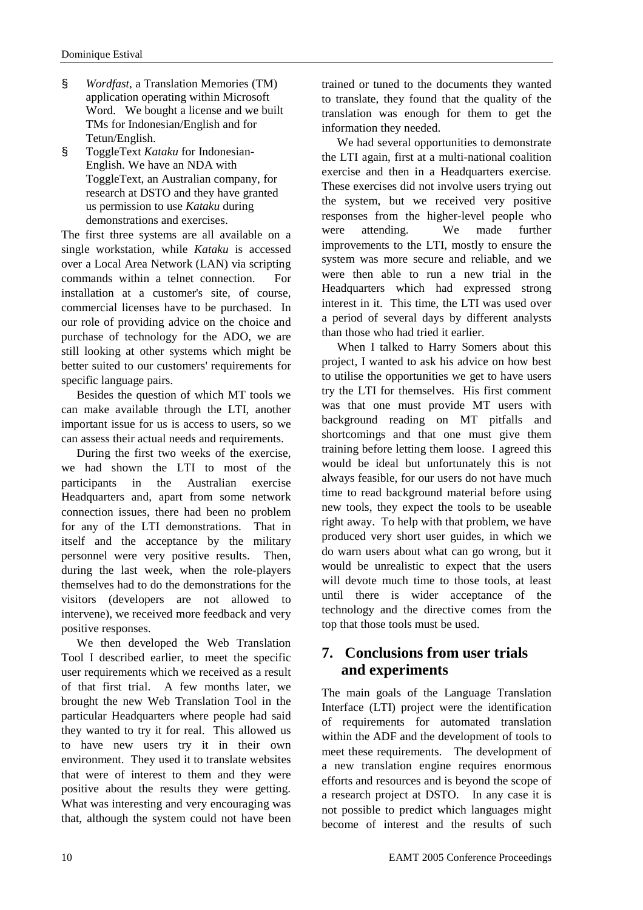- § *Wordfast*, a Translation Memories (TM) application operating within Microsoft Word. We bought a license and we built TMs for Indonesian/English and for Tetun/English.
- § ToggleText *Kataku* for Indonesian-English. We have an NDA with ToggleText, an Australian company, for research at DSTO and they have granted us permission to use *Kataku* during demonstrations and exercises.

The first three systems are all available on a single workstation, while *Kataku* is accessed over a Local Area Network (LAN) via scripting commands within a telnet connection. For installation at a customer's site, of course, commercial licenses have to be purchased. In our role of providing advice on the choice and purchase of technology for the ADO, we are still looking at other systems which might be better suited to our customers' requirements for specific language pairs.

Besides the question of which MT tools we can make available through the LTI, another important issue for us is access to users, so we can assess their actual needs and requirements.

During the first two weeks of the exercise, we had shown the LTI to most of the participants in the Australian exercise Headquarters and, apart from some network connection issues, there had been no problem for any of the LTI demonstrations. That in itself and the acceptance by the military personnel were very positive results. Then, during the last week, when the role-players themselves had to do the demonstrations for the visitors (developers are not allowed to intervene), we received more feedback and very positive responses.

We then developed the Web Translation Tool I described earlier, to meet the specific user requirements which we received as a result of that first trial. A few months later, we brought the new Web Translation Tool in the particular Headquarters where people had said they wanted to try it for real. This allowed us to have new users try it in their own environment. They used it to translate websites that were of interest to them and they were positive about the results they were getting. What was interesting and very encouraging was that, although the system could not have been

trained or tuned to the documents they wanted to translate, they found that the quality of the translation was enough for them to get the information they needed.

We had several opportunities to demonstrate the LTI again, first at a multi-national coalition exercise and then in a Headquarters exercise. These exercises did not involve users trying out the system, but we received very positive responses from the higher-level people who were attending. We made further improvements to the LTI, mostly to ensure the system was more secure and reliable, and we were then able to run a new trial in the Headquarters which had expressed strong interest in it. This time, the LTI was used over a period of several days by different analysts than those who had tried it earlier.

When I talked to Harry Somers about this project, I wanted to ask his advice on how best to utilise the opportunities we get to have users try the LTI for themselves. His first comment was that one must provide MT users with background reading on MT pitfalls and shortcomings and that one must give them training before letting them loose. I agreed this would be ideal but unfortunately this is not always feasible, for our users do not have much time to read background material before using new tools, they expect the tools to be useable right away. To help with that problem, we have produced very short user guides, in which we do warn users about what can go wrong, but it would be unrealistic to expect that the users will devote much time to those tools, at least until there is wider acceptance of the technology and the directive comes from the top that those tools must be used.

## **7. Conclusions from user trials and experiments**

The main goals of the Language Translation Interface (LTI) project were the identification of requirements for automated translation within the ADF and the development of tools to meet these requirements. The development of a new translation engine requires enormous efforts and resources and is beyond the scope of a research project at DSTO. In any case it is not possible to predict which languages might become of interest and the results of such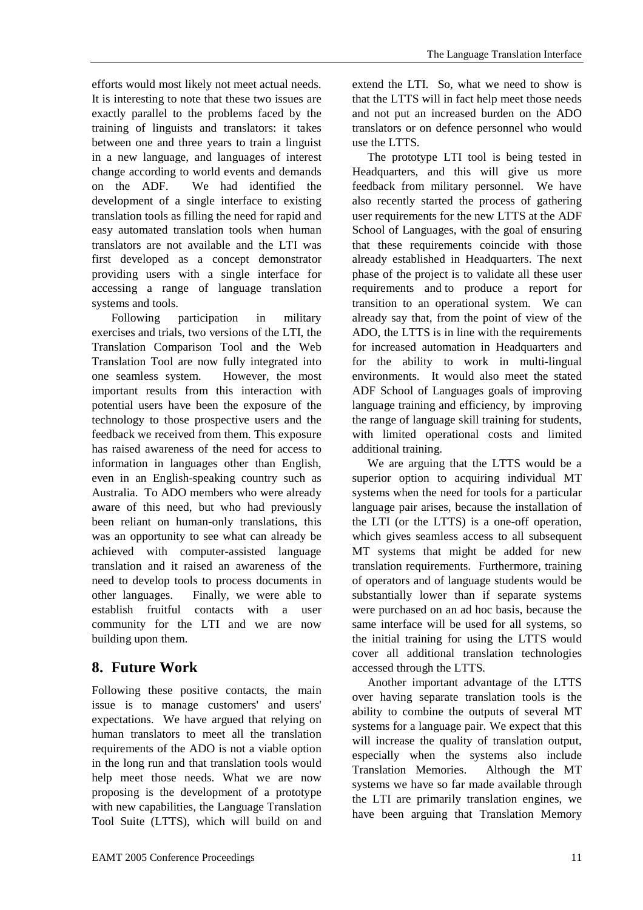efforts would most likely not meet actual needs. It is interesting to note that these two issues are exactly parallel to the problems faced by the training of linguists and translators: it takes between one and three years to train a linguist in a new language, and languages of interest change according to world events and demands on the ADF. We had identified the development of a single interface to existing translation tools as filling the need for rapid and easy automated translation tools when human translators are not available and the LTI was first developed as a concept demonstrator providing users with a single interface for accessing a range of language translation systems and tools.

Following participation in military exercises and trials, two versions of the LTI, the Translation Comparison Tool and the Web Translation Tool are now fully integrated into one seamless system. However, the most important results from this interaction with potential users have been the exposure of the technology to those prospective users and the feedback we received from them. This exposure has raised awareness of the need for access to information in languages other than English, even in an English-speaking country such as Australia. To ADO members who were already aware of this need, but who had previously been reliant on human-only translations, this was an opportunity to see what can already be achieved with computer-assisted language translation and it raised an awareness of the need to develop tools to process documents in other languages. Finally, we were able to establish fruitful contacts with a user community for the LTI and we are now building upon them.

# **8. Future Work**

Following these positive contacts, the main issue is to manage customers' and users' expectations. We have argued that relying on human translators to meet all the translation requirements of the ADO is not a viable option in the long run and that translation tools would help meet those needs. What we are now proposing is the development of a prototype with new capabilities, the Language Translation Tool Suite (LTTS), which will build on and

extend the LTI. So, what we need to show is that the LTTS will in fact help meet those needs and not put an increased burden on the ADO translators or on defence personnel who would use the LTTS.

The prototype LTI tool is being tested in Headquarters, and this will give us more feedback from military personnel. We have also recently started the process of gathering user requirements for the new LTTS at the ADF School of Languages, with the goal of ensuring that these requirements coincide with those already established in Headquarters. The next phase of the project is to validate all these user requirements and to produce a report for transition to an operational system. We can already say that, from the point of view of the ADO, the LTTS is in line with the requirements for increased automation in Headquarters and for the ability to work in multi-lingual environments. It would also meet the stated ADF School of Languages goals of improving language training and efficiency, by improving the range of language skill training for students, with limited operational costs and limited additional training.

We are arguing that the LTTS would be a superior option to acquiring individual MT systems when the need for tools for a particular language pair arises, because the installation of the LTI (or the LTTS) is a one-off operation, which gives seamless access to all subsequent MT systems that might be added for new translation requirements. Furthermore, training of operators and of language students would be substantially lower than if separate systems were purchased on an ad hoc basis, because the same interface will be used for all systems, so the initial training for using the LTTS would cover all additional translation technologies accessed through the LTTS.

Another important advantage of the LTTS over having separate translation tools is the ability to combine the outputs of several MT systems for a language pair. We expect that this will increase the quality of translation output, especially when the systems also include Translation Memories. Although the MT systems we have so far made available through the LTI are primarily translation engines, we have been arguing that Translation Memory